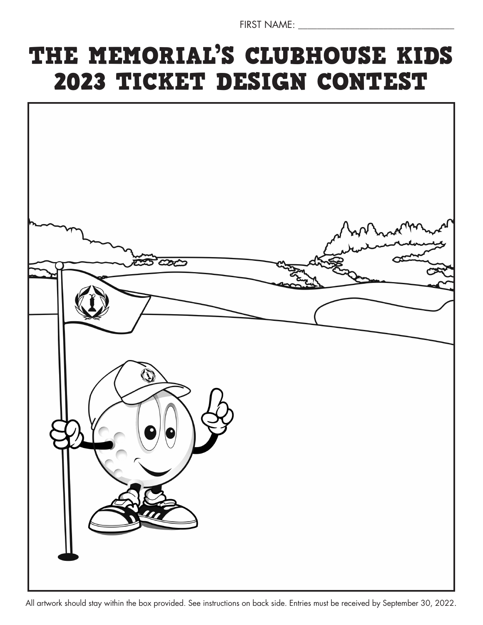FIRST NAME: \_\_\_\_\_\_\_\_\_\_\_\_\_\_\_\_\_\_\_\_\_\_\_\_\_\_\_\_\_\_\_\_\_

# THE MEMORIAL'S CLUBHOUSE KIDS 2023 TICKET DESIGN CONTEST



All artwork should stay within the box provided. See instructions on back side. Entries must be received by September 30, 2022.